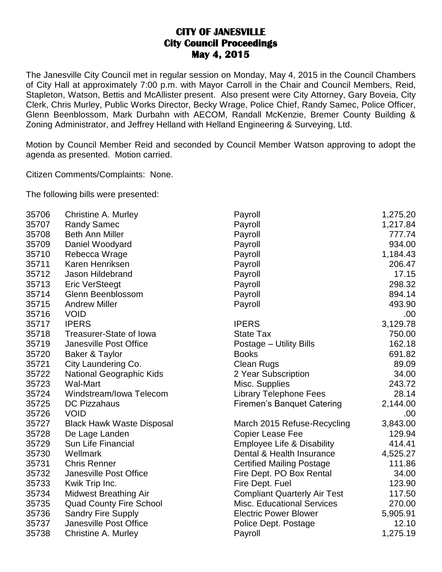## **CITY OF JANESVILLE City Council Proceedings May 4, 2015**

The Janesville City Council met in regular session on Monday, May 4, 2015 in the Council Chambers of City Hall at approximately 7:00 p.m. with Mayor Carroll in the Chair and Council Members, Reid, Stapleton, Watson, Bettis and McAllister present. Also present were City Attorney, Gary Boveia, City Clerk, Chris Murley, Public Works Director, Becky Wrage, Police Chief, Randy Samec, Police Officer, Glenn Beenblossom, Mark Durbahn with AECOM, Randall McKenzie, Bremer County Building & Zoning Administrator, and Jeffrey Helland with Helland Engineering & Surveying, Ltd.

Motion by Council Member Reid and seconded by Council Member Watson approving to adopt the agenda as presented. Motion carried.

Citizen Comments/Complaints: None.

The following bills were presented:

| 35706 | Christine A. Murley              | Payroll                             | 1,275.20 |
|-------|----------------------------------|-------------------------------------|----------|
| 35707 | <b>Randy Samec</b>               | Payroll                             | 1,217.84 |
| 35708 | <b>Beth Ann Miller</b>           | Payroll                             | 777.74   |
| 35709 | Daniel Woodyard                  | Payroll                             | 934.00   |
| 35710 | Rebecca Wrage                    | Payroll                             | 1,184.43 |
| 35711 | Karen Henriksen                  | Payroll                             | 206.47   |
| 35712 | Jason Hildebrand                 | Payroll                             | 17.15    |
| 35713 | <b>Eric VerSteegt</b>            | Payroll                             | 298.32   |
| 35714 | Glenn Beenblossom                | Payroll                             | 894.14   |
| 35715 | <b>Andrew Miller</b>             | Payroll                             | 493.90   |
| 35716 | <b>VOID</b>                      |                                     | .00      |
| 35717 | <b>IPERS</b>                     | <b>IPERS</b>                        | 3,129.78 |
| 35718 | <b>Treasurer-State of Iowa</b>   | <b>State Tax</b>                    | 750.00   |
| 35719 | Janesville Post Office           | Postage - Utility Bills             | 162.18   |
| 35720 | Baker & Taylor                   | <b>Books</b>                        | 691.82   |
| 35721 | City Laundering Co.              | Clean Rugs                          | 89.09    |
| 35722 | National Geographic Kids         | 2 Year Subscription                 | 34.00    |
| 35723 | <b>Wal-Mart</b>                  | Misc. Supplies                      | 243.72   |
| 35724 | Windstream/Iowa Telecom          | <b>Library Telephone Fees</b>       | 28.14    |
| 35725 | <b>DC Pizzahaus</b>              | Firemen's Banquet Catering          | 2,144.00 |
| 35726 | <b>VOID</b>                      |                                     | .00.     |
| 35727 | <b>Black Hawk Waste Disposal</b> | March 2015 Refuse-Recycling         | 3,843.00 |
| 35728 | De Lage Landen                   | <b>Copier Lease Fee</b>             | 129.94   |
| 35729 | <b>Sun Life Financial</b>        | Employee Life & Disability          | 414.41   |
| 35730 | Wellmark                         | Dental & Health Insurance           | 4,525.27 |
| 35731 | <b>Chris Renner</b>              | <b>Certified Mailing Postage</b>    | 111.86   |
| 35732 | Janesville Post Office           | Fire Dept. PO Box Rental            | 34.00    |
| 35733 | Kwik Trip Inc.                   | Fire Dept. Fuel                     | 123.90   |
| 35734 | <b>Midwest Breathing Air</b>     | <b>Compliant Quarterly Air Test</b> | 117.50   |
| 35735 | <b>Quad County Fire School</b>   | <b>Misc. Educational Services</b>   | 270.00   |
| 35736 | <b>Sandry Fire Supply</b>        | <b>Electric Power Blower</b>        | 5,905.91 |
| 35737 | Janesville Post Office           | Police Dept. Postage                | 12.10    |
| 35738 | Christine A. Murley              | Payroll                             | 1,275.19 |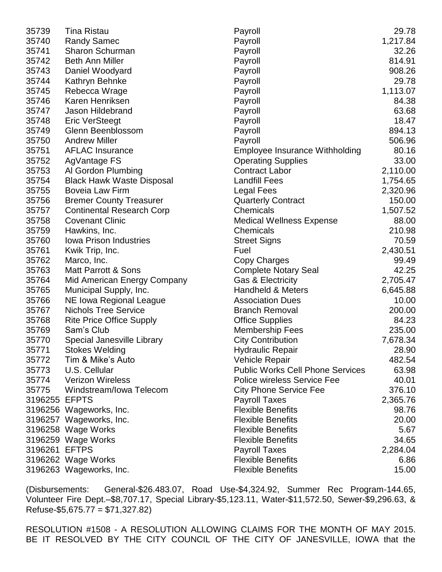| 35739         | <b>Tina Ristau</b>               | Payroll                                 | 29.78    |
|---------------|----------------------------------|-----------------------------------------|----------|
| 35740         | <b>Randy Samec</b>               | Payroll                                 | 1,217.84 |
| 35741         | Sharon Schurman                  | Payroll                                 | 32.26    |
| 35742         | <b>Beth Ann Miller</b>           | Payroll                                 | 814.91   |
| 35743         | Daniel Woodyard                  | Payroll                                 | 908.26   |
| 35744         | Kathryn Behnke                   | Payroll                                 | 29.78    |
| 35745         | Rebecca Wrage                    | Payroll                                 | 1,113.07 |
| 35746         | Karen Henriksen                  | Payroll                                 | 84.38    |
| 35747         | Jason Hildebrand                 | Payroll                                 | 63.68    |
| 35748         | <b>Eric VerSteegt</b>            | Payroll                                 | 18.47    |
| 35749         | Glenn Beenblossom                | Payroll                                 | 894.13   |
| 35750         | <b>Andrew Miller</b>             | Payroll                                 | 506.96   |
| 35751         | <b>AFLAC Insurance</b>           | <b>Employee Insurance Withholding</b>   | 80.16    |
| 35752         | AgVantage FS                     | <b>Operating Supplies</b>               | 33.00    |
| 35753         | Al Gordon Plumbing               | <b>Contract Labor</b>                   | 2,110.00 |
| 35754         | <b>Black Hawk Waste Disposal</b> | <b>Landfill Fees</b>                    | 1,754.65 |
| 35755         | <b>Boveia Law Firm</b>           | <b>Legal Fees</b>                       | 2,320.96 |
| 35756         | <b>Bremer County Treasurer</b>   | <b>Quarterly Contract</b>               | 150.00   |
| 35757         | <b>Continental Research Corp</b> | Chemicals                               | 1,507.52 |
| 35758         | <b>Covenant Clinic</b>           | <b>Medical Wellness Expense</b>         | 88.00    |
| 35759         | Hawkins, Inc.                    | Chemicals                               | 210.98   |
| 35760         | <b>Iowa Prison Industries</b>    | <b>Street Signs</b>                     | 70.59    |
| 35761         | Kwik Trip, Inc.                  | Fuel                                    | 2,430.51 |
| 35762         | Marco, Inc.                      | Copy Charges                            | 99.49    |
| 35763         | Matt Parrott & Sons              | <b>Complete Notary Seal</b>             | 42.25    |
| 35764         | Mid American Energy Company      | <b>Gas &amp; Electricity</b>            | 2,705.47 |
| 35765         | Municipal Supply, Inc.           | <b>Handheld &amp; Meters</b>            | 6,645.88 |
| 35766         | NE Iowa Regional League          | <b>Association Dues</b>                 | 10.00    |
| 35767         | <b>Nichols Tree Service</b>      | <b>Branch Removal</b>                   | 200.00   |
| 35768         | <b>Rite Price Office Supply</b>  | <b>Office Supplies</b>                  | 84.23    |
| 35769         | Sam's Club                       | <b>Membership Fees</b>                  | 235.00   |
| 35770         | Special Janesville Library       | <b>City Contribution</b>                | 7,678.34 |
| 35771         | <b>Stokes Welding</b>            | <b>Hydraulic Repair</b>                 | 28.90    |
| 35772         | Tim & Mike's Auto                | <b>Vehicle Repair</b>                   | 482.54   |
| 35773         | U.S. Cellular                    | <b>Public Works Cell Phone Services</b> | 63.98    |
| 35774         | <b>Verizon Wireless</b>          | <b>Police wireless Service Fee</b>      | 40.01    |
| 35775         | Windstream/Iowa Telecom          | <b>City Phone Service Fee</b>           | 376.10   |
| 3196255 EFPTS |                                  | <b>Payroll Taxes</b>                    | 2,365.76 |
|               | 3196256 Wageworks, Inc.          | <b>Flexible Benefits</b>                | 98.76    |
|               | 3196257 Wageworks, Inc.          | <b>Flexible Benefits</b>                | 20.00    |
|               | 3196258 Wage Works               | <b>Flexible Benefits</b>                | 5.67     |
|               | 3196259 Wage Works               | <b>Flexible Benefits</b>                | 34.65    |
| 3196261 EFTPS |                                  | <b>Payroll Taxes</b>                    | 2,284.04 |
|               | 3196262 Wage Works               | <b>Flexible Benefits</b>                | 6.86     |
|               | 3196263 Wageworks, Inc.          | <b>Flexible Benefits</b>                | 15.00    |

(Disbursements: General-\$26.483.07, Road Use-\$4,324.92, Summer Rec Program-144.65, Volunteer Fire Dept.–\$8,707.17, Special Library-\$5,123.11, Water-\$11,572.50, Sewer-\$9,296.63, &  $Refuse-$ \$5,675.77 = \$71,327.82)

RESOLUTION #1508 - A RESOLUTION ALLOWING CLAIMS FOR THE MONTH OF MAY 2015. BE IT RESOLVED BY THE CITY COUNCIL OF THE CITY OF JANESVILLE, IOWA that the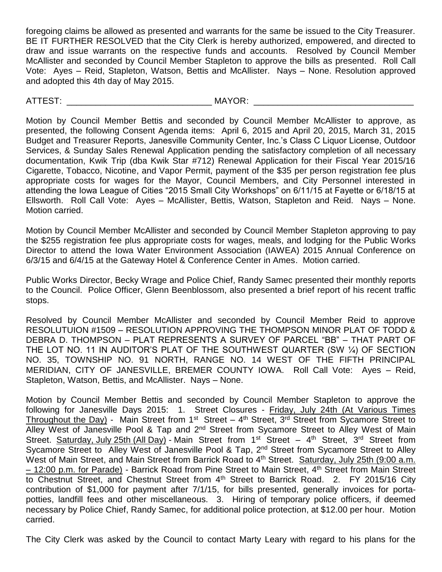foregoing claims be allowed as presented and warrants for the same be issued to the City Treasurer. BE IT FURTHER RESOLVED that the City Clerk is hereby authorized, empowered, and directed to draw and issue warrants on the respective funds and accounts. Resolved by Council Member McAllister and seconded by Council Member Stapleton to approve the bills as presented. Roll Call Vote: Ayes – Reid, Stapleton, Watson, Bettis and McAllister. Nays – None. Resolution approved and adopted this 4th day of May 2015.

ATTEST: \_\_\_\_\_\_\_\_\_\_\_\_\_\_\_\_\_\_\_\_\_\_\_\_\_\_\_\_\_\_ MAYOR: \_\_\_\_\_\_\_\_\_\_\_\_\_\_\_\_\_\_\_\_\_\_\_\_\_\_\_\_\_\_\_\_\_

Motion by Council Member Bettis and seconded by Council Member McAllister to approve, as presented, the following Consent Agenda items: April 6, 2015 and April 20, 2015, March 31, 2015 Budget and Treasurer Reports, Janesville Community Center, Inc.'s Class C Liquor License, Outdoor Services, & Sunday Sales Renewal Application pending the satisfactory completion of all necessary documentation, Kwik Trip (dba Kwik Star #712) Renewal Application for their Fiscal Year 2015/16 Cigarette, Tobacco, Nicotine, and Vapor Permit, payment of the \$35 per person registration fee plus appropriate costs for wages for the Mayor, Council Members, and City Personnel interested in attending the Iowa League of Cities "2015 Small City Workshops" on 6/11/15 at Fayette or 6/18/15 at Ellsworth. Roll Call Vote: Ayes – McAllister, Bettis, Watson, Stapleton and Reid. Nays – None. Motion carried.

Motion by Council Member McAllister and seconded by Council Member Stapleton approving to pay the \$255 registration fee plus appropriate costs for wages, meals, and lodging for the Public Works Director to attend the Iowa Water Environment Association (IAWEA) 2015 Annual Conference on 6/3/15 and 6/4/15 at the Gateway Hotel & Conference Center in Ames. Motion carried.

Public Works Director, Becky Wrage and Police Chief, Randy Samec presented their monthly reports to the Council. Police Officer, Glenn Beenblossom, also presented a brief report of his recent traffic stops.

Resolved by Council Member McAllister and seconded by Council Member Reid to approve RESOLUTUION #1509 – RESOLUTION APPROVING THE THOMPSON MINOR PLAT OF TODD & DEBRA D. THOMPSON – PLAT REPRESENTS A SURVEY OF PARCEL "BB" – THAT PART OF THE LOT NO. 11 IN AUDITOR'S PLAT OF THE SOUTHWEST QUARTER (SW ¼) OF SECTION NO. 35, TOWNSHIP NO. 91 NORTH, RANGE NO. 14 WEST OF THE FIFTH PRINCIPAL MERIDIAN, CITY OF JANESVILLE, BREMER COUNTY IOWA. Roll Call Vote: Ayes – Reid, Stapleton, Watson, Bettis, and McAllister. Nays – None.

Motion by Council Member Bettis and seconded by Council Member Stapleton to approve the following for Janesville Days 2015: 1. Street Closures - Friday, July 24th (At Various Times Throughout the Day) - Main Street from 1<sup>st</sup> Street – 4<sup>th</sup> Street, 3<sup>rd</sup> Street from Sycamore Street to Alley West of Janesville Pool & Tap and 2<sup>nd</sup> Street from Sycamore Street to Alley West of Main Street. Saturday, July 25th (All Day) - Main Street from 1<sup>st</sup> Street – 4<sup>th</sup> Street, 3<sup>rd</sup> Street from Sycamore Street to Alley West of Janesville Pool & Tap, 2<sup>nd</sup> Street from Sycamore Street to Alley West of Main Street, and Main Street from Barrick Road to 4<sup>th</sup> Street. Saturday, July 25th (9:00 a.m. - 12:00 p.m. for Parade) - Barrick Road from Pine Street to Main Street, 4<sup>th</sup> Street from Main Street to Chestnut Street, and Chestnut Street from 4<sup>th</sup> Street to Barrick Road. 2. FY 2015/16 City contribution of \$1,000 for payment after 7/1/15, for bills presented, generally invoices for portapotties, landfill fees and other miscellaneous. 3. Hiring of temporary police officers, if deemed necessary by Police Chief, Randy Samec, for additional police protection, at \$12.00 per hour. Motion carried.

The City Clerk was asked by the Council to contact Marty Leary with regard to his plans for the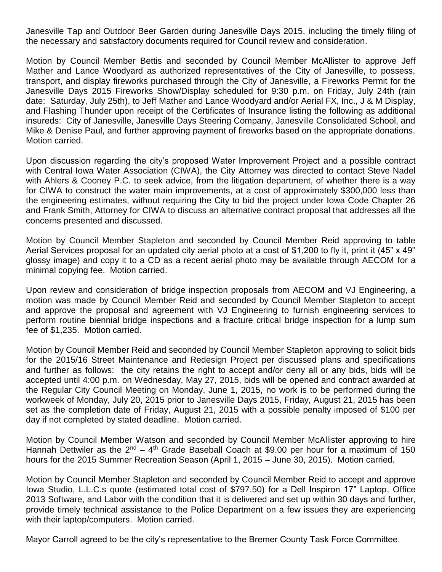Janesville Tap and Outdoor Beer Garden during Janesville Days 2015, including the timely filing of the necessary and satisfactory documents required for Council review and consideration.

Motion by Council Member Bettis and seconded by Council Member McAllister to approve Jeff Mather and Lance Woodyard as authorized representatives of the City of Janesville, to possess, transport, and display fireworks purchased through the City of Janesville, a Fireworks Permit for the Janesville Days 2015 Fireworks Show/Display scheduled for 9:30 p.m. on Friday, July 24th (rain date: Saturday, July 25th), to Jeff Mather and Lance Woodyard and/or Aerial FX, Inc., J & M Display, and Flashing Thunder upon receipt of the Certificates of Insurance listing the following as additional insureds: City of Janesville, Janesville Days Steering Company, Janesville Consolidated School, and Mike & Denise Paul, and further approving payment of fireworks based on the appropriate donations. Motion carried.

Upon discussion regarding the city's proposed Water Improvement Project and a possible contract with Central Iowa Water Association (CIWA), the City Attorney was directed to contact Steve Nadel with Ahlers & Cooney P.C. to seek advice, from the litigation department, of whether there is a way for CIWA to construct the water main improvements, at a cost of approximately \$300,000 less than the engineering estimates, without requiring the City to bid the project under Iowa Code Chapter 26 and Frank Smith, Attorney for CIWA to discuss an alternative contract proposal that addresses all the concerns presented and discussed.

Motion by Council Member Stapleton and seconded by Council Member Reid approving to table Aerial Services proposal for an updated city aerial photo at a cost of \$1,200 to fly it, print it (45" x 49" glossy image) and copy it to a CD as a recent aerial photo may be available through AECOM for a minimal copying fee. Motion carried.

Upon review and consideration of bridge inspection proposals from AECOM and VJ Engineering, a motion was made by Council Member Reid and seconded by Council Member Stapleton to accept and approve the proposal and agreement with VJ Engineering to furnish engineering services to perform routine biennial bridge inspections and a fracture critical bridge inspection for a lump sum fee of \$1,235. Motion carried.

Motion by Council Member Reid and seconded by Council Member Stapleton approving to solicit bids for the 2015/16 Street Maintenance and Redesign Project per discussed plans and specifications and further as follows: the city retains the right to accept and/or deny all or any bids, bids will be accepted until 4:00 p.m. on Wednesday, May 27, 2015, bids will be opened and contract awarded at the Regular City Council Meeting on Monday, June 1, 2015, no work is to be performed during the workweek of Monday, July 20, 2015 prior to Janesville Days 2015, Friday, August 21, 2015 has been set as the completion date of Friday, August 21, 2015 with a possible penalty imposed of \$100 per day if not completed by stated deadline. Motion carried.

Motion by Council Member Watson and seconded by Council Member McAllister approving to hire Hannah Dettwiler as the  $2^{nd}$  – 4<sup>th</sup> Grade Baseball Coach at \$9.00 per hour for a maximum of 150 hours for the 2015 Summer Recreation Season (April 1, 2015 – June 30, 2015). Motion carried.

Motion by Council Member Stapleton and seconded by Council Member Reid to accept and approve Iowa Studio, L.L.C.s quote (estimated total cost of \$797.50) for a Dell Inspiron 17" Laptop, Office 2013 Software, and Labor with the condition that it is delivered and set up within 30 days and further, provide timely technical assistance to the Police Department on a few issues they are experiencing with their laptop/computers. Motion carried.

Mayor Carroll agreed to be the city's representative to the Bremer County Task Force Committee.